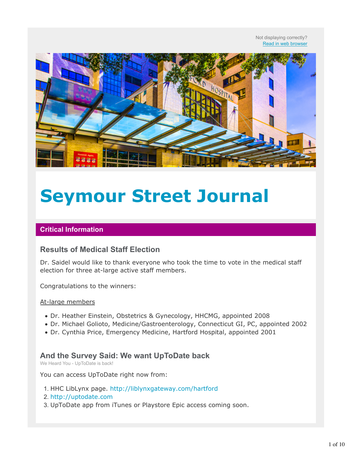Not displaying correctly? Read in web browser



# **Seymour Street Journal**

#### **Critical Information**

# **Results of Medical Staff Election**

Dr. Saidel would like to thank everyone who took the time to vote in the medical staff election for three at-large active staff members.

Congratulations to the winners:

#### At-large members

- Dr. Heather Einstein, Obstetrics & Gynecology, HHCMG, appointed 2008
- Dr. Michael Golioto, Medicine/Gastroenterology, Connecticut GI, PC, appointed 2002
- Dr. Cynthia Price, Emergency Medicine, Hartford Hospital, appointed 2001

## **And the Survey Said: We want UpToDate back**

We Heard You - UpToDate is back!

You can access UpToDate right now from:

- 1. HHC LibLynx page. http://liblynxgateway.com/hartford
- 2. http://uptodate.com
- 3. UpToDate app from iTunes or Playstore Epic access coming soon.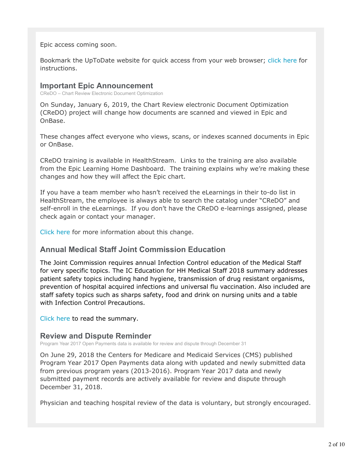Epic access coming soon.

Bookmark the UpToDate website for quick access from your web browser; click here for instructions.

### **Important Epic Announcement**

CReDO – Chart Review Electronic Document Optimization

On Sunday, January 6, 2019, the Chart Review electronic Document Optimization (CReDO) project will change how documents are scanned and viewed in Epic and OnBase.

These changes affect everyone who views, scans, or indexes scanned documents in Epic or OnBase.

CReDO training is available in HealthStream. Links to the training are also available from the Epic Learning Home Dashboard. The training explains why we're making these changes and how they will affect the Epic chart.

If you have a team member who hasn't received the eLearnings in their to-do list in HealthStream, the employee is always able to search the catalog under "CReDO" and self-enroll in the eLearnings. If you don't have the CReDO e-learnings assigned, please check again or contact your manager.

Click here for more information about this change.

# **Annual Medical Staff Joint Commission Education**

The Joint Commission requires annual Infection Control education of the Medical Staff for very specific topics. The IC Education for HH Medical Staff 2018 summary addresses patient safety topics including hand hygiene, transmission of drug resistant organisms, prevention of hospital acquired infections and universal flu vaccination. Also included are staff safety topics such as sharps safety, food and drink on nursing units and a table with Infection Control Precautions.

Click here to read the summary.

# **Review and Dispute Reminder**

Program Year 2017 Open Payments data is available for review and dispute through December 31

On June 29, 2018 the Centers for Medicare and Medicaid Services (CMS) published Program Year 2017 Open Payments data along with updated and newly submitted data from previous program years (2013-2016). Program Year 2017 data and newly submitted payment records are actively available for review and dispute through December 31, 2018.

Physician and teaching hospital review of the data is voluntary, but strongly encouraged.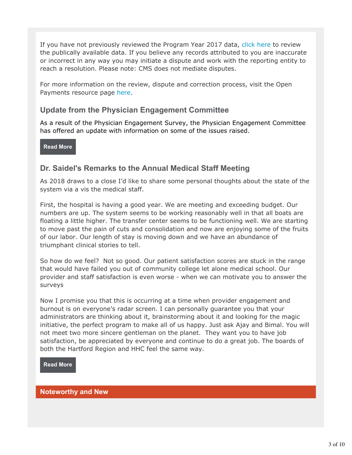If you have not previously reviewed the Program Year 2017 data, click here to review the publically available data. If you believe any records attributed to you are inaccurate or incorrect in any way you may initiate a dispute and work with the reporting entity to reach a resolution. Please note: CMS does not mediate disputes.

For more information on the review, dispute and correction process, visit the Open Payments resource page here.

# **Update from the Physician Engagement Committee**

As a result of the Physician Engagement Survey, the Physician Engagement Committee has offered an update with information on some of the issues raised.

**Read More**

# **Dr. Saidel's Remarks to the Annual Medical Staff Meeting**

As 2018 draws to a close I'd like to share some personal thoughts about the state of the system via a vis the medical staff.

First, the hospital is having a good year. We are meeting and exceeding budget. Our numbers are up. The system seems to be working reasonably well in that all boats are floating a little higher. The transfer center seems to be functioning well. We are starting to move past the pain of cuts and consolidation and now are enjoying some of the fruits of our labor. Our length of stay is moving down and we have an abundance of triumphant clinical stories to tell.

So how do we feel? Not so good. Our patient satisfaction scores are stuck in the range that would have failed you out of community college let alone medical school. Our provider and staff satisfaction is even worse - when we can motivate you to answer the surveys

Now I promise you that this is occurring at a time when provider engagement and burnout is on everyone's radar screen. I can personally guarantee you that your administrators are thinking about it, brainstorming about it and looking for the magic initiative, the perfect program to make all of us happy. Just ask Ajay and Bimal. You will not meet two more sincere gentleman on the planet. They want you to have job satisfaction, be appreciated by everyone and continue to do a great job. The boards of both the Hartford Region and HHC feel the same way.

**Read More**

**Noteworthy and New**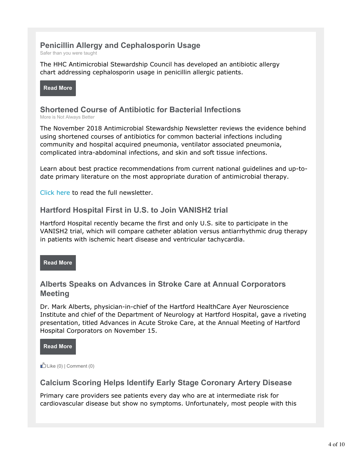# **Penicillin Allergy and Cephalosporin Usage**

Safer than you were taught

The HHC Antimicrobial Stewardship Council has developed an antibiotic allergy chart addressing cephalosporin usage in penicillin allergic patients.

**Read More**

# **Shortened Course of Antibiotic for Bacterial Infections**

More is Not Always Better

The November 2018 Antimicrobial Stewardship Newsletter reviews the evidence behind using shortened courses of antibiotics for common bacterial infections including community and hospital acquired pneumonia, ventilator associated pneumonia, complicated intra-abdominal infections, and skin and soft tissue infections.

Learn about best practice recommendations from current national guidelines and up-todate primary literature on the most appropriate duration of antimicrobial therapy.

Click here to read the full newsletter.

## **Hartford Hospital First in U.S. to Join VANISH2 trial**

Hartford Hospital recently became the first and only U.S. site to participate in the VANISH2 trial, which will compare catheter ablation versus antiarrhythmic drug therapy in patients with ischemic heart disease and ventricular tachycardia.

**Read More**

# **Alberts Speaks on Advances in Stroke Care at Annual Corporators Meeting**

Dr. Mark Alberts, physician-in-chief of the Hartford HealthCare Ayer Neuroscience Institute and chief of the Department of Neurology at Hartford Hospital, gave a riveting presentation, titled Advances in Acute Stroke Care, at the Annual Meeting of Hartford Hospital Corporators on November 15.

**Read More**

Like  $(0)$  | Comment  $(0)$ 

# **Calcium Scoring Helps Identify Early Stage Coronary Artery Disease**

Primary care providers see patients every day who are at intermediate risk for cardiovascular disease but show no symptoms. Unfortunately, most people with this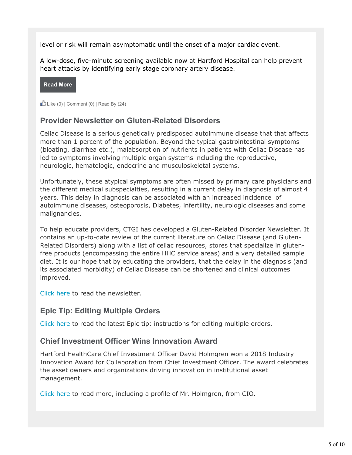level or risk will remain asymptomatic until the onset of a major cardiac event.

A low-dose, five-minute screening available now at Hartford Hospital can help prevent heart attacks by identifying early stage coronary artery disease.

#### **Read More**

Like  $(0)$  | Comment  $(0)$  | Read By  $(24)$ 

# **Provider Newsletter on Gluten-Related Disorders**

Celiac Disease is a serious genetically predisposed autoimmune disease that that affects more than 1 percent of the population. Beyond the typical gastrointestinal symptoms (bloating, diarrhea etc.), malabsorption of nutrients in patients with Celiac Disease has led to symptoms involving multiple organ systems including the reproductive, neurologic, hematologic, endocrine and musculoskeletal systems.

Unfortunately, these atypical symptoms are often missed by primary care physicians and the different medical subspecialties, resulting in a current delay in diagnosis of almost 4 years. This delay in diagnosis can be associated with an increased incidence of autoimmune diseases, osteoporosis, Diabetes, infertility, neurologic diseases and some malignancies.

To help educate providers, CTGI has developed a Gluten-Related Disorder Newsletter. It contains an up-to-date review of the current literature on Celiac Disease (and Gluten-Related Disorders) along with a list of celiac resources, stores that specialize in glutenfree products (encompassing the entire HHC service areas) and a very detailed sample diet. It is our hope that by educating the providers, that the delay in the diagnosis (and its associated morbidity) of Celiac Disease can be shortened and clinical outcomes improved.

Click here to read the newsletter.

# **Epic Tip: Editing Multiple Orders**

Click here to read the latest Epic tip: instructions for editing multiple orders.

## **Chief Investment Officer Wins Innovation Award**

Hartford HealthCare Chief Investment Officer David Holmgren won a 2018 Industry Innovation Award for Collaboration from Chief Investment Officer. The award celebrates the asset owners and organizations driving innovation in institutional asset management.

Click here to read more, including a profile of Mr. Holmgren, from CIO.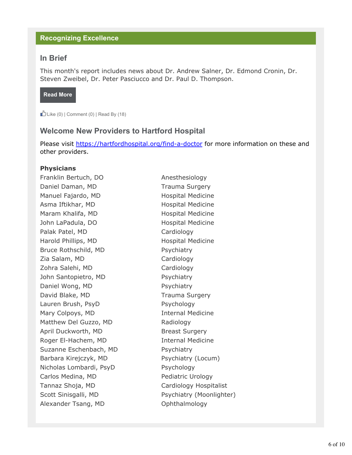#### **Recognizing Excellence**

## **In Brief**

This month's report includes news about Dr. Andrew Salner, Dr. Edmond Cronin, Dr. Steven Zweibel, Dr. Peter Pasciucco and Dr. Paul D. Thompson.

**Read More**

Like  $(0)$  | Comment  $(0)$  | Read By  $(18)$ 

## **Welcome New Providers to Hartford Hospital**

Please visit https://hartfordhospital.org/find-a-doctor for more information on these and other providers.

#### **Physicians**

Franklin Bertuch, DO Anesthesiology Daniel Daman, MD Trauma Surgery Manuel Fajardo, MD Hospital Medicine Asma Iftikhar, MD Hospital Medicine Maram Khalifa, MD Hospital Medicine John LaPadula, DO Hospital Medicine Palak Patel, MD Cardiology Harold Phillips, MD Hospital Medicine Bruce Rothschild, MD Psychiatry Zia Salam, MD Cardiology Zohra Salehi, MD Cardiology John Santopietro, MD Psychiatry Daniel Wong, MD Psychiatry David Blake, MD Trauma Surgery Lauren Brush, PsyD Psychology Mary Colpoys, MD **Internal Medicine** Matthew Del Guzzo, MD Radiology April Duckworth, MD Breast Surgery Roger El-Hachem, MD Internal Medicine Suzanne Eschenbach, MD Psychiatry Barbara Kirejczyk, MD Psychiatry (Locum) Nicholas Lombardi, PsyD Psychology Carlos Medina, MD Pediatric Urology Tannaz Shoja, MD Cardiology Hospitalist Scott Sinisgalli, MD Psychiatry (Moonlighter) Alexander Tsang, MD Ophthalmology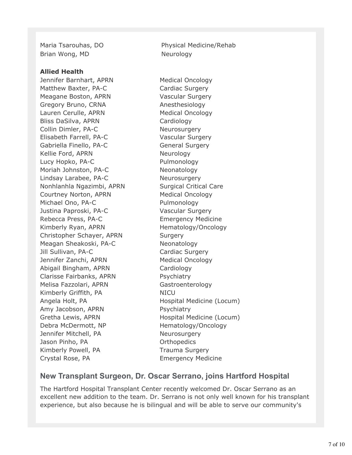Brian Wong, MD Neurology

#### **Allied Health**

Jennifer Barnhart, APRN Medical Oncology Matthew Baxter, PA-C Cardiac Surgery Meagane Boston, APRN Vascular Surgery Gregory Bruno, CRNA Anesthesiology Lauren Cerulle, APRN Medical Oncology Bliss DaSilva, APRN Cardiology Collin Dimler, PA-C Neurosurgery Elisabeth Farrell, PA-C Vascular Surgery Gabriella Finello, PA-C General Surgery Kellie Ford, APRN Neurology Lucy Hopko, PA-C Pulmonology Moriah Johnston, PA-C Neonatology Lindsay Larabee, PA-C Neurosurgery Nonhlanhla Ngazimbi, APRN Surgical Critical Care Courtney Norton, APRN Medical Oncology Michael Ono, PA-C Pulmonology Justina Paproski, PA-C Vascular Surgery Rebecca Press, PA-C Emergency Medicine Kimberly Ryan, APRN Hematology/Oncology Christopher Schayer, APRN Surgery Meagan Sheakoski, PA-C Neonatology Jill Sullivan, PA-C Cardiac Surgery Jennifer Zanchi, APRN Medical Oncology Abigail Bingham, APRN Cardiology Clarisse Fairbanks, APRN Psychiatry Melisa Fazzolari, APRN Gastroenterology Kimberly Griffith, PA NICU Angela Holt, PA **Hospital Medicine (Locum)** Amy Jacobson, APRN Psychiatry Gretha Lewis, APRN Hospital Medicine (Locum) Debra McDermott, NP Hematology/Oncology Jennifer Mitchell, PA Neurosurgery Jason Pinho, PA **Orthopedics** Kimberly Powell, PA Trauma Surgery Crystal Rose, PA **Emergency Medicine** 

Maria Tsarouhas, DO Physical Medicine/Rehab

# **New Transplant Surgeon, Dr. Oscar Serrano, joins Hartford Hospital**

The Hartford Hospital Transplant Center recently welcomed Dr. Oscar Serrano as an excellent new addition to the team. Dr. Serrano is not only well known for his transplant experience, but also because he is bilingual and will be able to serve our community's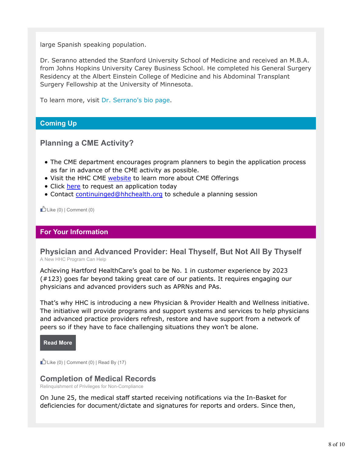large Spanish speaking population.

Dr. Seranno attended the Stanford University School of Medicine and received an M.B.A. from Johns Hopkins University Carey Business School. He completed his General Surgery Residency at the Albert Einstein College of Medicine and his Abdominal Transplant Surgery Fellowship at the University of Minnesota.

To learn more, visit Dr. Serrano's bio page.

#### **Coming Up**

## **Planning a CME Activity?**

- The CME department encourages program planners to begin the application process as far in advance of the CME activity as possible.
- Visit the HHC CME website to learn more about CME Offerings
- Click here to request an application today
- Contact continuinged@hhchealth.org to schedule a planning session

Like  $(0)$  | Comment  $(0)$ 

#### **For Your Information**

#### **Physician and Advanced Provider: Heal Thyself, But Not All By Thyself** A New HHC Program Can Help

Achieving Hartford HealthCare's goal to be No. 1 in customer experience by 2023 (#123) goes far beyond taking great care of our patients. It requires engaging our physicians and advanced providers such as APRNs and PAs.

That's why HHC is introducing a new Physician & Provider Health and Wellness initiative. The initiative will provide programs and support systems and services to help physicians and advanced practice providers refresh, restore and have support from a network of peers so if they have to face challenging situations they won't be alone.

**Read More**

Like  $(0)$  | Comment  $(0)$  | Read By  $(17)$ 

#### **Completion of Medical Records**

Relinquishment of Privileges for Non-Compliance

On June 25, the medical staff started receiving notifications via the In-Basket for deficiencies for document/dictate and signatures for reports and orders. Since then,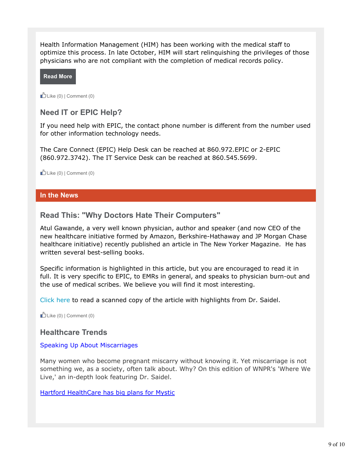Health Information Management (HIM) has been working with the medical staff to optimize this process. In late October, HIM will start relinquishing the privileges of those physicians who are not compliant with the completion of medical records policy.

**Read More**

 $D$  Like (0) | Comment (0)

## **Need IT or EPIC Help?**

If you need help with EPIC, the contact phone number is different from the number used for other information technology needs.

The Care Connect (EPIC) Help Desk can be reached at 860.972.EPIC or 2-EPIC (860.972.3742). The IT Service Desk can be reached at 860.545.5699.

 $\bigcup$  Like (0) | Comment (0)

#### **In the News**

## **Read This: "Why Doctors Hate Their Computers"**

Atul Gawande, a very well known physician, author and speaker (and now CEO of the new healthcare initiative formed by Amazon, Berkshire-Hathaway and JP Morgan Chase healthcare initiative) recently published an article in The New Yorker Magazine. He has written several best-selling books.

Specific information is highlighted in this article, but you are encouraged to read it in full. It is very specific to EPIC, to EMRs in general, and speaks to physician burn-out and the use of medical scribes. We believe you will find it most interesting.

Click here to read a scanned copy of the article with highlights from Dr. Saidel.

Like  $(0)$  | Comment  $(0)$ 

## **Healthcare Trends**

#### Speaking Up About Miscarriages

Many women who become pregnant miscarry without knowing it. Yet miscarriage is not something we, as a society, often talk about. Why? On this edition of WNPR's 'Where We Live,' an in-depth look featuring Dr. Saidel.

Hartford HealthCare has big plans for Mystic